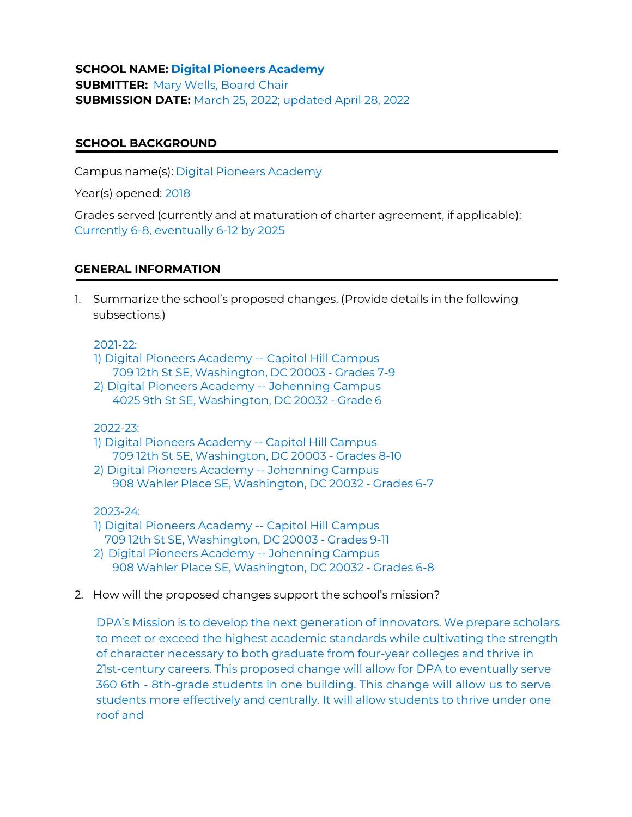**SCHOOL NAME: Digital Pioneers Academy SUBMITTER:** Mary Wells, Board Chair **SUBMISSION DATE:** March 25, 2022; updated April 28, 2022

## **SCHOOL BACKGROUND**

Campus name(s): Digital Pioneers Academy

Year(s) opened: 2018

Grades served (currently and at maturation of charter agreement, if applicable): Currently 6-8, eventually 6-12 by 2025

## **GENERAL INFORMATION**

1. Summarize the school's proposed changes. (Provide details in the following subsections.)

2021-22:

- 1) Digital Pioneers Academy -- Capitol Hill Campus 709 12th St SE, Washington, DC 20003 - Grades 7-9
- 2) Digital Pioneers Academy -- Johenning Campus 4025 9th St SE, Washington, DC 20032 - Grade 6

2022-23:

- 1) Digital Pioneers Academy -- Capitol Hill Campus 709 12th St SE, Washington, DC 20003 - Grades 8-10
- 2) Digital Pioneers Academy -- Johenning Campus 908 Wahler Place SE, Washington, DC 20032 - Grades 6-7

2023-24:

- 1) Digital Pioneers Academy -- Capitol Hill Campus 709 12th St SE, Washington, DC 20003 - Grades 9-11
- 2) Digital Pioneers Academy -- Johenning Campus 908 Wahler Place SE, Washington, DC 20032 - Grades 6-8
- 2. How will the proposed changes support the school's mission?

DPA's Mission is to develop the next generation of innovators. We prepare scholars to meet or exceed the highest academic standards while cultivating the strength of character necessary to both graduate from four-year colleges and thrive in 21st-century careers. This proposed change will allow for DPA to eventually serve 360 6th - 8th-grade students in one building. This change will allow us to serve students more effectively and centrally. It will allow students to thrive under one roof and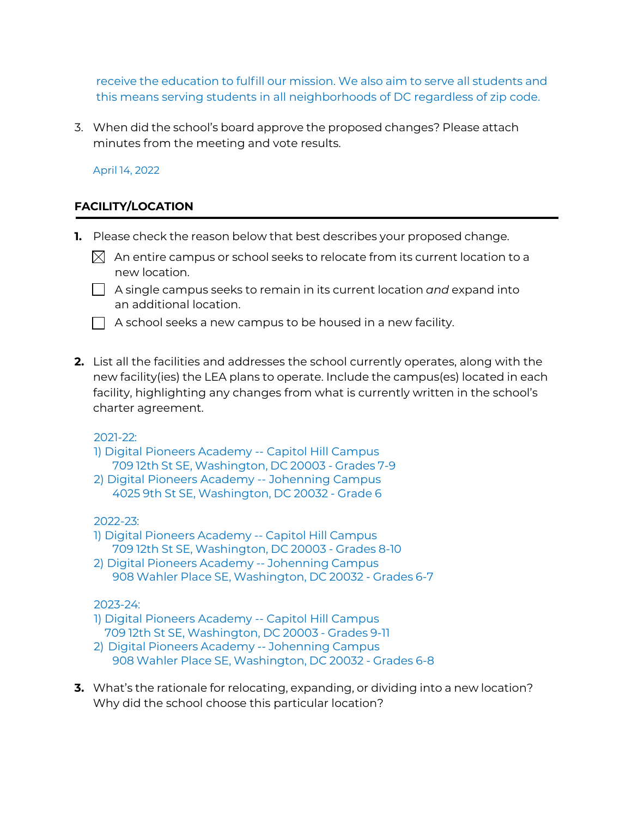receive the education to fulfill our mission. We also aim to serve all students and this means serving students in all neighborhoods of DC regardless of zip code.

3. When did the school's board approve the proposed changes? Please attach minutes from the meeting and vote results.

April 14, 2022

# **FACILITY/LOCATION**

- **1.** Please check the reason below that best describes your proposed change.
	- $\boxtimes$  An entire campus or school seeks to relocate from its current location to a new location.
	- A single campus seeks to remain in its current location *and* expand into an additional location.
	- $\Box$  A school seeks a new campus to be housed in a new facility.
- **2.** List all the facilities and addresses the school currently operates, along with the new facility(ies) the LEA plans to operate. Include the campus(es) located in each facility, highlighting any changes from what is currently written in the school's charter agreement.

2021-22:

- 1) Digital Pioneers Academy -- Capitol Hill Campus 709 12th St SE, Washington, DC 20003 - Grades 7-9
- 2) Digital Pioneers Academy -- Johenning Campus 4025 9th St SE, Washington, DC 20032 - Grade 6

2022-23:

- 1) Digital Pioneers Academy -- Capitol Hill Campus 709 12th St SE, Washington, DC 20003 - Grades 8-10
- 2) Digital Pioneers Academy -- Johenning Campus 908 Wahler Place SE, Washington, DC 20032 - Grades 6-7

# 2023-24:

- 1) Digital Pioneers Academy -- Capitol Hill Campus 709 12th St SE, Washington, DC 20003 - Grades 9-11
- 2) Digital Pioneers Academy -- Johenning Campus 908 Wahler Place SE, Washington, DC 20032 - Grades 6-8
- **3.** What's the rationale for relocating, expanding, or dividing into a new location? Why did the school choose this particular location?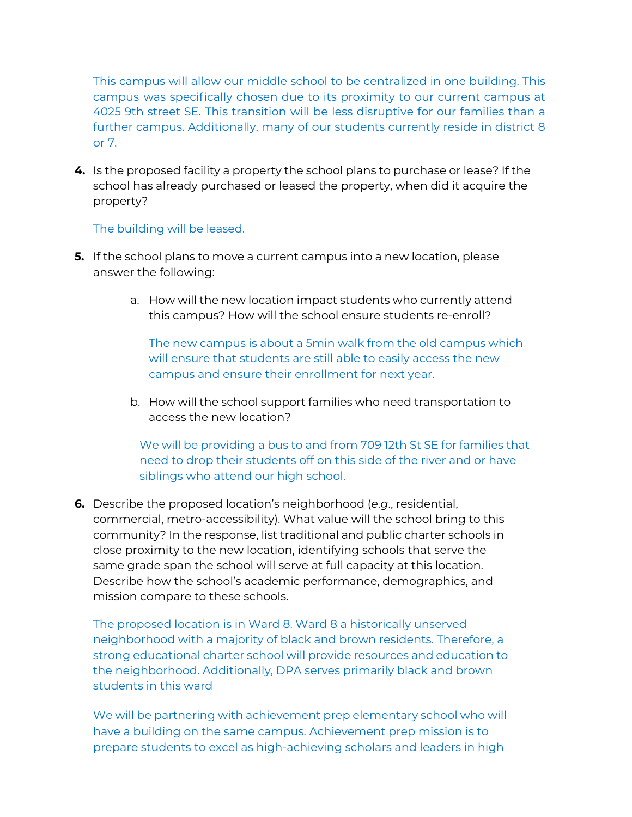This campus will allow our middle school to be centralized in one building. This campus was specifically chosen due to its proximity to our current campus at 4025 9th street SE. This transition will be less disruptive for our families than a further campus. Additionally, many of our students currently reside in district 8 or 7.

**4.** Is the proposed facility a property the school plans to purchase or lease? If the school has already purchased or leased the property, when did it acquire the property?

## The building will be leased.

- **5.** If the school plans to move a current campus into a new location, please answer the following:
	- a. How will the new location impact students who currently attend this campus? How will the school ensure students re-enroll?

The new campus is about a 5min walk from the old campus which will ensure that students are still able to easily access the new campus and ensure their enrollment for next year.

b. How will the school support families who need transportation to access the new location?

We will be providing a bus to and from 709 12th St SE for families that need to drop their students off on this side of the river and or have siblings who attend our high school.

**6.** Describe the proposed location's neighborhood (*e*.*g*., residential, commercial, metro-accessibility). What value will the school bring to this community? In the response, list traditional and public charter schools in close proximity to the new location, identifying schools that serve the same grade span the school will serve at full capacity at this location. Describe how the school's academic performance, demographics, and mission compare to these schools.

The proposed location is in Ward 8. Ward 8 a historically unserved neighborhood with a majority of black and brown residents. Therefore, a strong educational charter school will provide resources and education to the neighborhood. Additionally, DPA serves primarily black and brown students in this ward

We will be partnering with achievement prep elementary school who will have a building on the same campus. Achievement prep mission is to prepare students to excel as high-achieving scholars and leaders in high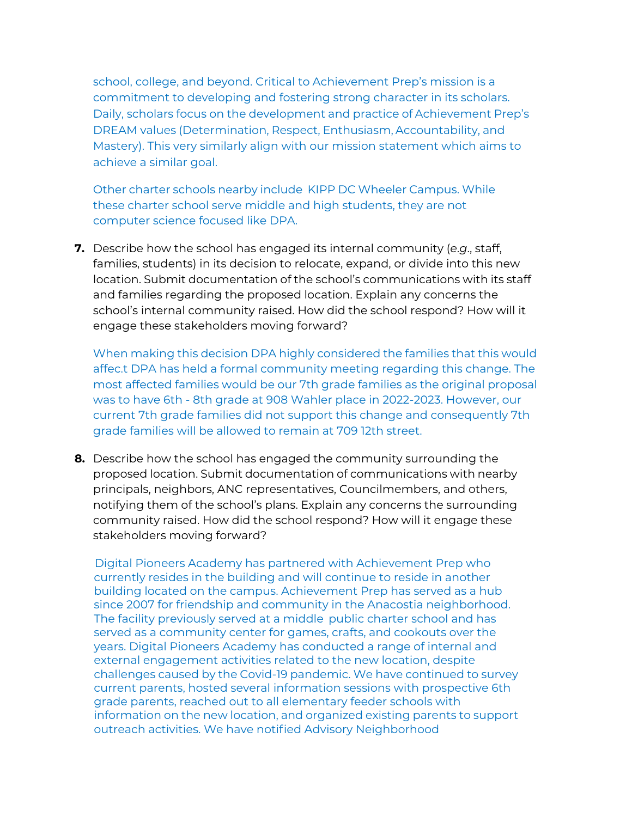school, college, and beyond. Critical to Achievement Prep's mission is a commitment to developing and fostering strong character in its scholars. Daily, scholars focus on the development and practice of Achievement Prep's DREAM values (Determination, Respect, Enthusiasm, Accountability, and Mastery). This very similarly align with our mission statement which aims to achieve a similar goal.

Other charter schools nearby include KIPP DC Wheeler Campus. While these charter school serve middle and high students, they are not computer science focused like DPA.

**7.** Describe how the school has engaged its internal community (*e*.*g*., staff, families, students) in its decision to relocate, expand, or divide into this new location. Submit documentation of the school's communications with its staff and families regarding the proposed location. Explain any concerns the school's internal community raised. How did the school respond? How will it engage these stakeholders moving forward?

When making this decision DPA highly considered the families that this would affec.t DPA has held a formal community meeting regarding this change. The most affected families would be our 7th grade families as the original proposal was to have 6th - 8th grade at 908 Wahler place in 2022-2023. However, our current 7th grade families did not support this change and consequently 7th grade families will be allowed to remain at 709 12th street.

**8.** Describe how the school has engaged the community surrounding the proposed location. Submit documentation of communications with nearby principals, neighbors, ANC representatives, Councilmembers, and others, notifying them of the school's plans. Explain any concerns the surrounding community raised. How did the school respond? How will it engage these stakeholders moving forward?

Digital Pioneers Academy has partnered with Achievement Prep who currently resides in the building and will continue to reside in another building located on the campus. Achievement Prep has served as a hub since 2007 for friendship and community in the Anacostia neighborhood. The facility previously served at a middle public charter school and has served as a community center for games, crafts, and cookouts over the years. Digital Pioneers Academy has conducted a range of internal and external engagement activities related to the new location, despite challenges caused by the Covid-19 pandemic. We have continued to survey current parents, hosted several information sessions with prospective 6th grade parents, reached out to all elementary feeder schools with information on the new location, and organized existing parents to support outreach activities. We have notified Advisory Neighborhood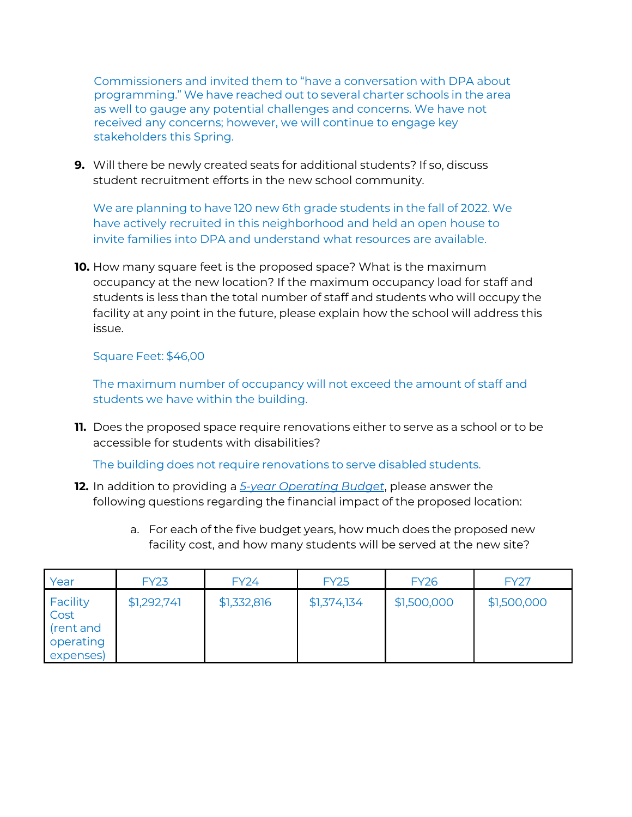Commissioners and invited them to "have a conversation with DPA about programming." We have reached out to several charter schools in the area as well to gauge any potential challenges and concerns. We have not received any concerns; however, we will continue to engage key stakeholders this Spring.

**9.** Will there be newly created seats for additional students? If so, discuss student recruitment efforts in the new school community.

We are planning to have 120 new 6th grade students in the fall of 2022. We have actively recruited in this neighborhood and held an open house to invite families into DPA and understand what resources are available.

**10.** How many square feet is the proposed space? What is the maximum occupancy at the new location? If the maximum occupancy load for staff and students is less than the total number of staff and students who will occupy the facility at any point in the future, please explain how the school will address this issue.

# Square Feet: \$46,00

The maximum number of occupancy will not exceed the amount of staff and students we have within the building.

**11.** Does the proposed space require renovations either to serve as a school or to be accessible for students with disabilities?

The building does not require renovations to serve disabled students.

- **12.** In addition to providing a *5-year Operating Budget*, please answer the following questions regarding the financial impact of the proposed location:
	- a. For each of the five budget years, how much does the proposed new facility cost, and how many students will be served at the new site?

| Year                                                    | <b>FY23</b> | <b>FY24</b> | <b>FY25</b> | <b>FY26</b> | <b>FY27</b> |
|---------------------------------------------------------|-------------|-------------|-------------|-------------|-------------|
| Facility<br>Cost<br>(rent and<br>operating<br>expenses) | \$1,292,74] | \$1,332,816 | \$1,374,134 | \$1,500,000 | \$1,500,000 |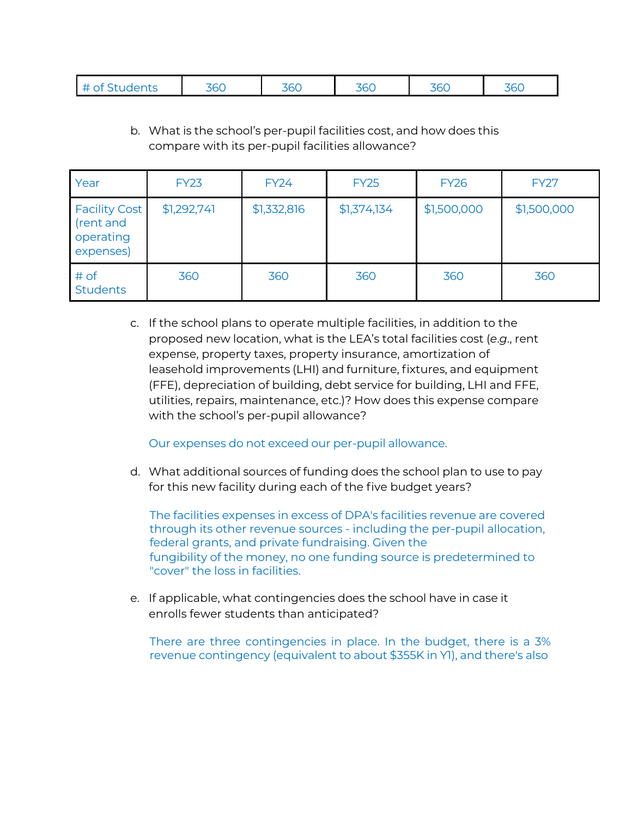| , <i>. .</i><br>,,,<br>,,,<br>$\sim$ $\sim$<br>36C<br>೨೦೦<br>56C<br>vv<br><u>JUU</u><br>.<br>$ -$<br>---<br>---<br>. |
|----------------------------------------------------------------------------------------------------------------------|
|----------------------------------------------------------------------------------------------------------------------|

b. What is the school's per-pupil facilities cost, and how does this compare with its per-pupil facilities allowance?

| Year                                                        | <b>FY23</b> | <b>FY24</b> | <b>FY25</b> | <b>FY26</b> | <b>FY27</b> |  |
|-------------------------------------------------------------|-------------|-------------|-------------|-------------|-------------|--|
| <b>Facility Cost</b><br>(rent and<br>operating<br>expenses) | \$1,292,74] | \$1,332,816 | \$1,374,134 | \$1,500,000 | \$1,500,000 |  |
| # of<br><b>Students</b>                                     | 360         | 360         | 360         | 360         | 360         |  |

c. If the school plans to operate multiple facilities, in addition to the proposed new location, what is the LEA's total facilities cost (*e*.*g*., rent expense, property taxes, property insurance, amortization of leasehold improvements (LHI) and furniture, fixtures, and equipment (FFE), depreciation of building, debt service for building, LHI and FFE, utilities, repairs, maintenance, etc.)? How does this expense compare with the school's per-pupil allowance?

Our expenses do not exceed our per-pupil allowance.

d. What additional sources of funding does the school plan to use to pay for this new facility during each of the five budget years?

The facilities expenses in excess of DPA's facilities revenue are covered through its other revenue sources - including the per-pupil allocation, federal grants, and private fundraising. Given the fungibility of the money, no one funding source is predetermined to "cover" the loss in facilities.

e. If applicable, what contingencies does the school have in case it enrolls fewer students than anticipated?

There are three contingencies in place. In the budget, there is a 3% revenue contingency (equivalent to about \$355K in Y1), and there's also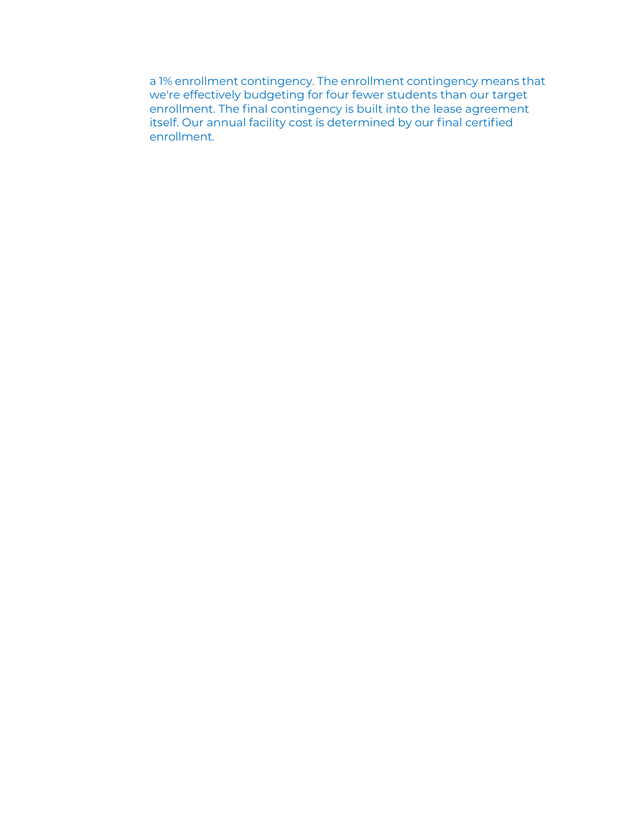a 1% enrollment contingency. The enrollment contingency means that we're effectively budgeting for four fewer students than our target enrollment. The final contingency is built into the lease agreement itself. Our annual facility cost is determined by our final certified enrollment.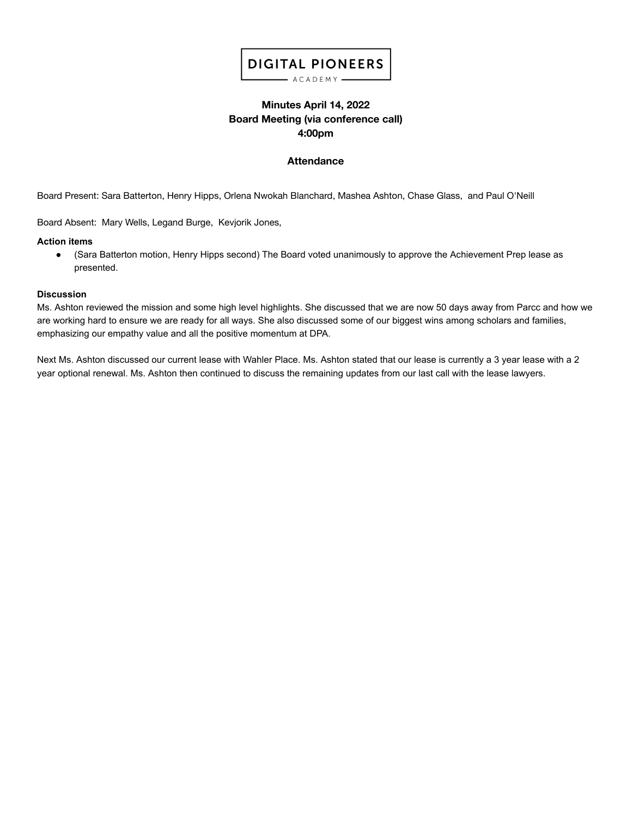# **DIGITAL PIONEERS**

- ACADEMY -

## **Minutes April 14, 2022 Board Meeting (via conference call) 4:00pm**

### **Attendance**

Board Present: Sara Batterton, Henry Hipps, Orlena Nwokah Blanchard, Mashea Ashton, Chase Glass, and Paul O'Neill

Board Absent: Mary Wells, Legand Burge, Kevjorik Jones,

#### **Action items**

● (Sara Batterton motion, Henry Hipps second) The Board voted unanimously to approve the Achievement Prep lease as presented.

### **Discussion**

Ms. Ashton reviewed the mission and some high level highlights. She discussed that we are now 50 days away from Parcc and how we are working hard to ensure we are ready for all ways. She also discussed some of our biggest wins among scholars and families, emphasizing our empathy value and all the positive momentum at DPA.

Next Ms. Ashton discussed our current lease with Wahler Place. Ms. Ashton stated that our lease is currently a 3 year lease with a 2 year optional renewal. Ms. Ashton then continued to discuss the remaining updates from our last call with the lease lawyers.